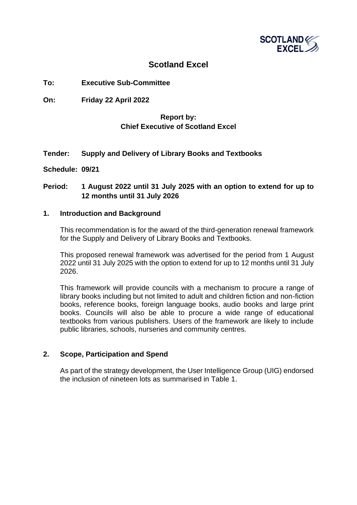

## **Scotland Excel**

## **To: Executive Sub-Committee**

**On: Friday 22 April 2022**

## **Report by: Chief Executive of Scotland Excel**

## **Tender: Supply and Delivery of Library Books and Textbooks**

**Schedule: 09/21**

## **Period: 1 August 2022 until 31 July 2025 with an option to extend for up to 12 months until 31 July 2026**

#### **1. Introduction and Background**

This recommendation is for the award of the third-generation renewal framework for the Supply and Delivery of Library Books and Textbooks.

This proposed renewal framework was advertised for the period from 1 August 2022 until 31 July 2025 with the option to extend for up to 12 months until 31 July 2026.

This framework will provide councils with a mechanism to procure a range of library books including but not limited to adult and children fiction and non-fiction books, reference books, foreign language books, audio books and large print books. Councils will also be able to procure a wide range of educational textbooks from various publishers. Users of the framework are likely to include public libraries, schools, nurseries and community centres.

## **2. Scope, Participation and Spend**

As part of the strategy development, the User Intelligence Group (UIG) endorsed the inclusion of nineteen lots as summarised in Table 1.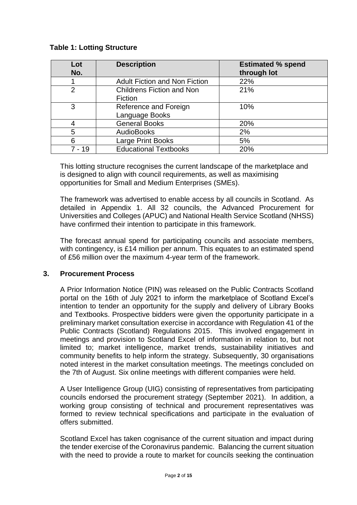## **Table 1: Lotting Structure**

| Lot<br>No.     | <b>Description</b>                          | <b>Estimated % spend</b><br>through lot |
|----------------|---------------------------------------------|-----------------------------------------|
|                | <b>Adult Fiction and Non Fiction</b>        | 22%                                     |
| $\overline{2}$ | <b>Childrens Fiction and Non</b><br>Fiction | 21%                                     |
| 3              | Reference and Foreign<br>Language Books     | 10%                                     |
|                | <b>General Books</b>                        | 20%                                     |
| 5              | <b>AudioBooks</b>                           | 2%                                      |
| 6              | Large Print Books                           | 5%                                      |
| 7 - 19         | <b>Educational Textbooks</b>                | 20%                                     |

This lotting structure recognises the current landscape of the marketplace and is designed to align with council requirements, as well as maximising opportunities for Small and Medium Enterprises (SMEs).

The framework was advertised to enable access by all councils in Scotland. As detailed in Appendix 1. All 32 councils, the Advanced Procurement for Universities and Colleges (APUC) and National Health Service Scotland (NHSS) have confirmed their intention to participate in this framework.

The forecast annual spend for participating councils and associate members, with contingency, is £14 million per annum. This equates to an estimated spend of £56 million over the maximum 4-year term of the framework.

## **3. Procurement Process**

A Prior Information Notice (PIN) was released on the Public Contracts Scotland portal on the 16th of July 2021 to inform the marketplace of Scotland Excel's intention to tender an opportunity for the supply and delivery of Library Books and Textbooks. Prospective bidders were given the opportunity participate in a preliminary market consultation exercise in accordance with Regulation 41 of the Public Contracts (Scotland) Regulations 2015. This involved engagement in meetings and provision to Scotland Excel of information in relation to, but not limited to; market intelligence, market trends, sustainability initiatives and community benefits to help inform the strategy. Subsequently, 30 organisations noted interest in the market consultation meetings. The meetings concluded on the 7th of August. Six online meetings with different companies were held.

A User Intelligence Group (UIG) consisting of representatives from participating councils endorsed the procurement strategy (September 2021). In addition, a working group consisting of technical and procurement representatives was formed to review technical specifications and participate in the evaluation of offers submitted.

Scotland Excel has taken cognisance of the current situation and impact during the tender exercise of the Coronavirus pandemic. Balancing the current situation with the need to provide a route to market for councils seeking the continuation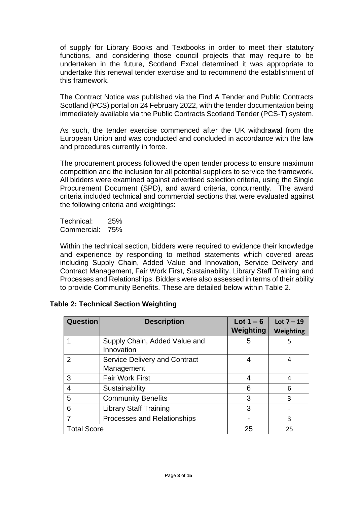of supply for Library Books and Textbooks in order to meet their statutory functions, and considering those council projects that may require to be undertaken in the future, Scotland Excel determined it was appropriate to undertake this renewal tender exercise and to recommend the establishment of this framework.

The Contract Notice was published via the Find A Tender and Public Contracts Scotland (PCS) portal on 24 February 2022, with the tender documentation being immediately available via the Public Contracts Scotland Tender (PCS-T) system.

As such, the tender exercise commenced after the UK withdrawal from the European Union and was conducted and concluded in accordance with the law and procedures currently in force.

The procurement process followed the open tender process to ensure maximum competition and the inclusion for all potential suppliers to service the framework. All bidders were examined against advertised selection criteria, using the Single Procurement Document (SPD), and award criteria, concurrently. The award criteria included technical and commercial sections that were evaluated against the following criteria and weightings:

Technical: 25% Commercial: 75%

Within the technical section, bidders were required to evidence their knowledge and experience by responding to method statements which covered areas including Supply Chain, Added Value and Innovation, Service Delivery and Contract Management, Fair Work First, Sustainability, Library Staff Training and Processes and Relationships. Bidders were also assessed in terms of their ability to provide Community Benefits. These are detailed below within Table 2.

## **Table 2: Technical Section Weighting**

| <b>Question</b>    | <b>Description</b>                                 | Lot $1 - 6$<br>Weighting | Lot $7 - 19$<br>Weighting |
|--------------------|----------------------------------------------------|--------------------------|---------------------------|
|                    | Supply Chain, Added Value and<br>Innovation        | 5                        | 5                         |
| 2                  | <b>Service Delivery and Contract</b><br>Management | 4                        | 4                         |
| 3                  | <b>Fair Work First</b>                             | 4                        | 4                         |
| 4                  | Sustainability                                     | 6                        | 6                         |
| 5                  | <b>Community Benefits</b>                          | 3                        | 3                         |
| 6                  | <b>Library Staff Training</b>                      | 3                        |                           |
|                    | Processes and Relationships                        |                          | 3                         |
| <b>Total Score</b> |                                                    | 25                       | 25                        |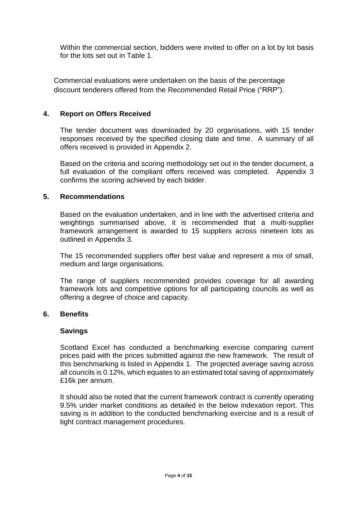Within the commercial section, bidders were invited to offer on a lot by lot basis for the lots set out in Table 1.

Commercial evaluations were undertaken on the basis of the percentage discount tenderers offered from the Recommended Retail Price ("RRP").

## **4. Report on Offers Received**

The tender document was downloaded by 20 organisations, with 15 tender responses received by the specified closing date and time. A summary of all offers received is provided in Appendix 2.

Based on the criteria and scoring methodology set out in the tender document, a full evaluation of the compliant offers received was completed. Appendix 3 confirms the scoring achieved by each bidder.

## **5. Recommendations**

Based on the evaluation undertaken, and in line with the advertised criteria and weightings summarised above, it is recommended that a multi-supplier framework arrangement is awarded to 15 suppliers across nineteen lots as outlined in Appendix 3.

The 15 recommended suppliers offer best value and represent a mix of small, medium and large organisations.

The range of suppliers recommended provides coverage for all awarding framework lots and competitive options for all participating councils as well as offering a degree of choice and capacity.

## **6. Benefits**

## **Savings**

Scotland Excel has conducted a benchmarking exercise comparing current prices paid with the prices submitted against the new framework. The result of this benchmarking is listed in Appendix 1. The projected average saving across all councils is 0.12%, which equates to an estimated total saving of approximately £16k per annum.

It should also be noted that the current framework contract is currently operating 9.5% under market conditions as detailed in the below indexation report. This saving is in addition to the conducted benchmarking exercise and is a result of tight contract management procedures.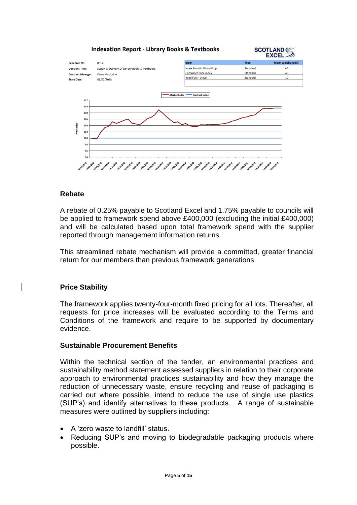

## **Rebate**

A rebate of 0.25% payable to Scotland Excel and 1.75% payable to councils will be applied to framework spend above £400,000 (excluding the initial £400,000) and will be calculated based upon total framework spend with the supplier reported through management information returns.

This streamlined rebate mechanism will provide a committed, greater financial return for our members than previous framework generations.

## **Price Stability**

The framework applies twenty-four-month fixed pricing for all lots. Thereafter, all requests for price increases will be evaluated according to the Terms and Conditions of the framework and require to be supported by documentary evidence.

## **Sustainable Procurement Benefits**

Within the technical section of the tender, an environmental practices and sustainability method statement assessed suppliers in relation to their corporate approach to environmental practices sustainability and how they manage the reduction of unnecessary waste, ensure recycling and reuse of packaging is carried out where possible, intend to reduce the use of single use plastics (SUP's) and identify alternatives to these products. A range of sustainable measures were outlined by suppliers including:

- A 'zero waste to landfill' status.
- Reducing SUP's and moving to biodegradable packaging products where possible.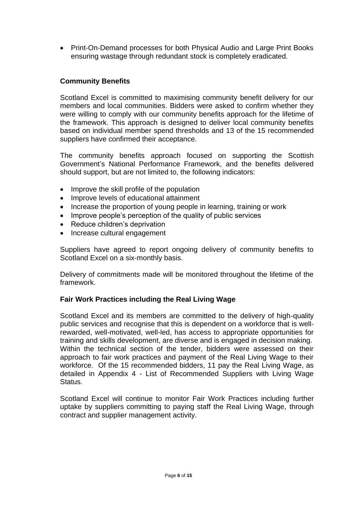• Print-On-Demand processes for both Physical Audio and Large Print Books ensuring wastage through redundant stock is completely eradicated.

## **Community Benefits**

Scotland Excel is committed to maximising community benefit delivery for our members and local communities. Bidders were asked to confirm whether they were willing to comply with our community benefits approach for the lifetime of the framework. This approach is designed to deliver local community benefits based on individual member spend thresholds and 13 of the 15 recommended suppliers have confirmed their acceptance.

The community benefits approach focused on supporting the Scottish Government's National Performance Framework, and the benefits delivered should support, but are not limited to, the following indicators:

- Improve the skill profile of the population
- Improve levels of educational attainment
- Increase the proportion of young people in learning, training or work
- Improve people's perception of the quality of public services
- Reduce children's deprivation
- Increase cultural engagement

Suppliers have agreed to report ongoing delivery of community benefits to Scotland Excel on a six-monthly basis.

Delivery of commitments made will be monitored throughout the lifetime of the framework.

## **Fair Work Practices including the Real Living Wage**

Scotland Excel and its members are committed to the delivery of high-quality public services and recognise that this is dependent on a workforce that is wellrewarded, well-motivated, well-led, has access to appropriate opportunities for training and skills development, are diverse and is engaged in decision making. Within the technical section of the tender, bidders were assessed on their approach to fair work practices and payment of the Real Living Wage to their workforce. Of the 15 recommended bidders, 11 pay the Real Living Wage, as detailed in Appendix 4 - List of Recommended Suppliers with Living Wage Status.

Scotland Excel will continue to monitor Fair Work Practices including further uptake by suppliers committing to paying staff the Real Living Wage, through contract and supplier management activity.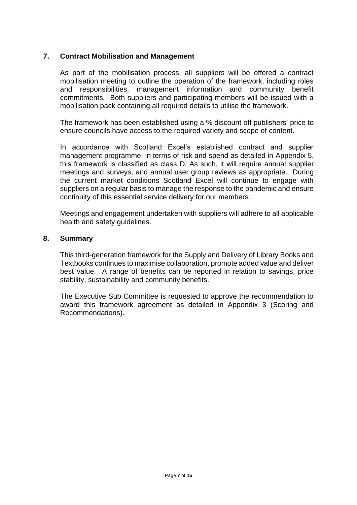## **7. Contract Mobilisation and Management**

As part of the mobilisation process, all suppliers will be offered a contract mobilisation meeting to outline the operation of the framework, including roles and responsibilities, management information and community benefit commitments. Both suppliers and participating members will be issued with a mobilisation pack containing all required details to utilise the framework.

The framework has been established using a % discount off publishers' price to ensure councils have access to the required variety and scope of content.

In accordance with Scotland Excel's established contract and supplier management programme, in terms of risk and spend as detailed in Appendix 5, this framework is classified as class D. As such, it will require annual supplier meetings and surveys, and annual user group reviews as appropriate. During the current market conditions Scotland Excel will continue to engage with suppliers on a regular basis to manage the response to the pandemic and ensure continuity of this essential service delivery for our members.

Meetings and engagement undertaken with suppliers will adhere to all applicable health and safety guidelines.

#### **8. Summary**

This third-generation framework for the Supply and Delivery of Library Books and Textbooks continues to maximise collaboration, promote added value and deliver best value. A range of benefits can be reported in relation to savings, price stability, sustainability and community benefits.

The Executive Sub Committee is requested to approve the recommendation to award this framework agreement as detailed in Appendix 3 (Scoring and Recommendations).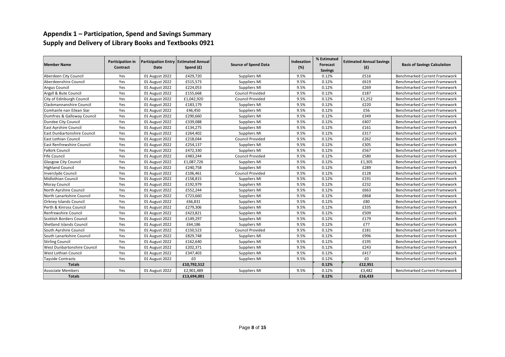## **Appendix 1 – Participation, Spend and Savings Summary Supply and Delivery of Library Books and Textbooks 0921**

| <b>Member Name</b>                 | <b>Participation in</b><br>Contract | Participation Entry Estimated Annual<br><b>Date</b> | Spend (£)   | <b>Source of Spend Data</b> | Indexation<br>(%) | % Estimated<br>Forecast | <b>Estimated Annual Savings</b><br>(E) | <b>Basis of Savings Calculation</b>  |
|------------------------------------|-------------------------------------|-----------------------------------------------------|-------------|-----------------------------|-------------------|-------------------------|----------------------------------------|--------------------------------------|
|                                    |                                     |                                                     |             |                             |                   | <b>Savings</b>          |                                        |                                      |
| Aberdeen City Council              | Yes                                 | 01 August 2022                                      | £429,720    | Suppliers MI                | 9.5%              | 0.12%                   | £516                                   | <b>Benchmarked Current Framework</b> |
| Aberdeenshire Council              | Yes                                 | 01 August 2022                                      | £515,573    | Suppliers MI                | 9.5%              | 0.12%                   | £619                                   | <b>Benchmarked Current Framework</b> |
| Angus Council                      | Yes                                 | 01 August 2022                                      | £224,053    | Suppliers MI                | 9.5%              | 0.12%                   | £269                                   | <b>Benchmarked Current Framework</b> |
| Argyll & Bute Council              | Yes                                 | 01 August 2022                                      | £155,668    | <b>Council Provided</b>     | 9.5%              | 0.12%                   | £187                                   | <b>Benchmarked Current Framework</b> |
| City of Edinburgh Council          | Yes                                 | 01 August 2022                                      | £1,042,920  | Council Provided            | 9.5%              | 0.12%                   | £1,252                                 | <b>Benchmarked Current Framework</b> |
| Clackmannanshire Council           | Yes                                 | 01 August 2022                                      | £183,179    | Suppliers MI                | 9.5%              | 0.12%                   | £220                                   | <b>Benchmarked Current Framework</b> |
| Comhairle nan Eilean Siar          | Yes                                 | 01 August 2022                                      | £46,450     | Suppliers MI                | 9.5%              | 0.12%                   | £56                                    | <b>Benchmarked Current Framework</b> |
| Dumfries & Galloway Council        | Yes                                 | 01 August 2022                                      | £290,660    | Suppliers MI                | 9.5%              | 0.12%                   | £349                                   | <b>Benchmarked Current Framework</b> |
| Dundee City Council                | Yes                                 | 01 August 2022                                      | £339,088    | Suppliers MI                | 9.5%              | 0.12%                   | £407                                   | <b>Benchmarked Current Framework</b> |
| East Ayrshire Council              | Yes                                 | 01 August 2022                                      | £134,275    | Suppliers MI                | 9.5%              | 0.12%                   | £161                                   | <b>Benchmarked Current Framework</b> |
| <b>East Dunbartonshire Council</b> | Yes                                 | 01 August 2022                                      | £264,402    | Suppliers MI                | 9.5%              | 0.12%                   | £317                                   | <b>Benchmarked Current Framework</b> |
| <b>East Lothian Council</b>        | Yes                                 | 01 August 2022                                      | £218,044    | <b>Council Provided</b>     | 9.5%              | 0.12%                   | £262                                   | <b>Benchmarked Current Framework</b> |
| <b>East Renfrewshire Council</b>   | Yes                                 | 01 August 2022                                      | £254,137    | Suppliers MI                | 9.5%              | 0.12%                   | £305                                   | <b>Benchmarked Current Framework</b> |
| <b>Falkirk Council</b>             | Yes                                 | 01 August 2022                                      | £472,330    | Suppliers MI                | 9.5%              | 0.12%                   | £567                                   | <b>Benchmarked Current Framework</b> |
| <b>Fife Council</b>                | Yes                                 | 01 August 2022                                      | £483,244    | <b>Council Provided</b>     | 9.5%              | 0.12%                   | £580                                   | <b>Benchmarked Current Framework</b> |
| <b>Glasgow City Council</b>        | Yes                                 | 01 August 2022                                      | £1,087,726  | Suppliers MI                | 9.5%              | 0.12%                   | £1,305                                 | <b>Benchmarked Current Framework</b> |
| <b>Highland Council</b>            | Yes                                 | 01 August 2022                                      | £240,758    | Suppliers MI                | 9.5%              | 0.12%                   | £289                                   | <b>Benchmarked Current Framework</b> |
| <b>Inverclyde Council</b>          | Yes                                 | 01 August 2022                                      | £106,461    | <b>Council Provided</b>     | 9.5%              | 0.12%                   | £128                                   | Benchmarked Current Framework        |
| <b>Midlothian Council</b>          | Yes                                 | 01 August 2022                                      | £158,815    | Suppliers MI                | 9.5%              | 0.12%                   | £191                                   | <b>Benchmarked Current Framework</b> |
| Moray Council                      | Yes                                 | 01 August 2022                                      | £192,979    | Suppliers MI                | 9.5%              | 0.12%                   | £232                                   | <b>Benchmarked Current Framework</b> |
| North Ayrshire Council             | Yes                                 | 01 August 2022                                      | £552,244    | Suppliers MI                | 9.5%              | 0.12%                   | £663                                   | <b>Benchmarked Current Framework</b> |
| North Lanarkshire Council          | Yes                                 | 01 August 2022                                      | £723,660    | Suppliers MI                | 9.5%              | 0.12%                   | £868                                   | <b>Benchmarked Current Framework</b> |
| <b>Orkney Islands Council</b>      | Yes                                 | 01 August 2022                                      | £66,831     | Suppliers MI                | 9.5%              | 0.12%                   | £80                                    | <b>Benchmarked Current Framework</b> |
| Perth & Kinross Council            | Yes                                 | 01 August 2022                                      | £279,306    | Suppliers MI                | 9.5%              | 0.12%                   | £335                                   | <b>Benchmarked Current Framework</b> |
| Renfrewshire Council               | Yes                                 | 01 August 2022                                      | £423,821    | Suppliers MI                | 9.5%              | 0.12%                   | £509                                   | <b>Benchmarked Current Framework</b> |
| Scottish Borders Council           | Yes                                 | 01 August 2022                                      | £149,297    | Suppliers MI                | 9.5%              | 0.12%                   | £179                                   | <b>Benchmarked Current Framework</b> |
| <b>Shetland Islands Council</b>    | Yes                                 | 01 August 2022                                      | £64,186     | Suppliers MI                | 9.5%              | 0.12%                   | £77                                    | <b>Benchmarked Current Framework</b> |
| South Ayrshire Council             | Yes                                 | 01 August 2022                                      | £150,523    | <b>Council Provided</b>     | 9.5%              | 0.12%                   | £181                                   | <b>Benchmarked Current Framework</b> |
| South Lanarkshire Council          | Yes                                 | 01 August 2022                                      | £829,748    | Suppliers MI                | 9.5%              | 0.12%                   | £996                                   | Benchmarked Current Framework        |
| <b>Stirling Council</b>            | Yes                                 | 01 August 2022                                      | £162,640    | Suppliers MI                | 9.5%              | 0.12%                   | £195                                   | <b>Benchmarked Current Framework</b> |
| West Dunbartonshire Council        | Yes                                 | 01 August 2022                                      | £202,371    | Suppliers MI                | 9.5%              | 0.12%                   | £243                                   | <b>Benchmarked Current Framework</b> |
| <b>West Lothian Council</b>        | Yes                                 | 01 August 2022                                      | £347,403    | Suppliers MI                | 9.5%              | 0.12%                   | £417                                   | <b>Benchmarked Current Framework</b> |
| <b>Tayside Contracts</b>           | Yes                                 | 01 August 2022                                      | £0          | Suppliers MI                | 9.5%              | 0.12%                   | £0                                     | <b>Benchmarked Current Framework</b> |
| <b>Totals</b>                      |                                     |                                                     | £10,792,512 |                             |                   | 0.12%                   | £12,951                                |                                      |
| <b>Associate Members</b>           | Yes                                 | 01 August 2022                                      | £2,901,489  | Suppliers MI                | 9.5%              | 0.12%                   | £3,482                                 | <b>Benchmarked Current Framework</b> |
| <b>Totals</b>                      |                                     |                                                     | £13,694,001 |                             |                   | 0.12%                   | £16,433                                |                                      |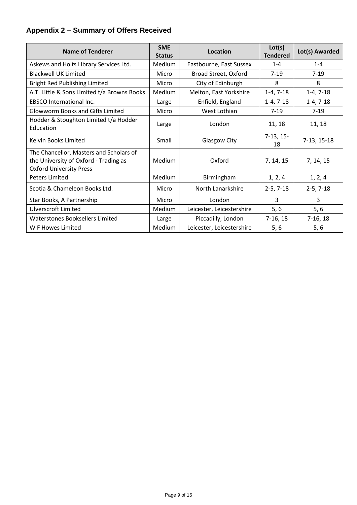## **Appendix 2 – Summary of Offers Received**

| <b>Name of Tenderer</b>                                                                                            | <b>SME</b><br><b>Status</b> | Location                  | Lot(s)<br><b>Tendered</b> | Lot(s) Awarded |
|--------------------------------------------------------------------------------------------------------------------|-----------------------------|---------------------------|---------------------------|----------------|
| Askews and Holts Library Services Ltd.                                                                             | Medium                      | Eastbourne, East Sussex   | $1 - 4$                   | $1 - 4$        |
| <b>Blackwell UK Limited</b>                                                                                        | Micro                       | Broad Street, Oxford      | $7-19$                    | $7-19$         |
| Bright Red Publishing Limited                                                                                      | Micro                       | City of Edinburgh         | 8                         | 8              |
| A.T. Little & Sons Limited t/a Browns Books                                                                        | Medium                      | Melton, East Yorkshire    | $1-4, 7-18$               | $1-4, 7-18$    |
| <b>EBSCO International Inc.</b>                                                                                    | Large                       | Enfield, England          | $1-4, 7-18$               | $1-4, 7-18$    |
| <b>Glowworm Books and Gifts Limited</b>                                                                            | Micro                       | West Lothian              | $7 - 19$                  | $7-19$         |
| Hodder & Stoughton Limited t/a Hodder<br>Education                                                                 | Large                       | London                    | 11, 18                    | 11, 18         |
| <b>Kelvin Books Limited</b>                                                                                        | Small                       | <b>Glasgow City</b>       | $7-13, 15-$<br>18         | 7-13, 15-18    |
| The Chancellor, Masters and Scholars of<br>the University of Oxford - Trading as<br><b>Oxford University Press</b> | Medium                      | Oxford                    | 7, 14, 15                 | 7, 14, 15      |
| <b>Peters Limited</b>                                                                                              | Medium                      | Birmingham                | 1, 2, 4                   | 1, 2, 4        |
| Scotia & Chameleon Books Ltd.                                                                                      | Micro                       | North Lanarkshire         | $2-5, 7-18$               | $2-5, 7-18$    |
| Star Books, A Partnership                                                                                          | Micro                       | London                    | 3                         | 3              |
| <b>Ulverscroft Limited</b>                                                                                         | Medium                      | Leicester, Leicestershire | 5,6                       | $5,6$          |
| Waterstones Booksellers Limited                                                                                    | Large                       | Piccadilly, London        | $7-16, 18$                | $7-16, 18$     |
| W F Howes Limited                                                                                                  | Medium                      | Leicester, Leicestershire | 5,6                       | 5,6            |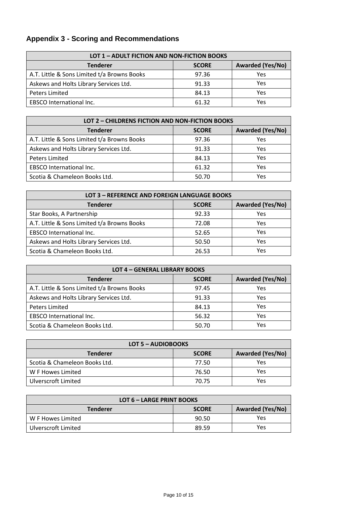# **Appendix 3 - Scoring and Recommendations**

| LOT 1 - ADULT FICTION AND NON-FICTION BOOKS                |       |     |  |  |
|------------------------------------------------------------|-------|-----|--|--|
| <b>Awarded (Yes/No)</b><br><b>Tenderer</b><br><b>SCORE</b> |       |     |  |  |
| A.T. Little & Sons Limited t/a Browns Books                | 97.36 | Yes |  |  |
| Askews and Holts Library Services Ltd.                     | 91.33 | Yes |  |  |
| Peters Limited                                             | 84.13 | Yes |  |  |
| <b>EBSCO</b> International Inc.                            | 61.32 | Yes |  |  |

| LOT 2 - CHILDRENS FICTION AND NON-FICTION BOOKS |              |                         |  |  |
|-------------------------------------------------|--------------|-------------------------|--|--|
| <b>Tenderer</b>                                 | <b>SCORE</b> | <b>Awarded (Yes/No)</b> |  |  |
| A.T. Little & Sons Limited t/a Browns Books     | 97.36        | Yes                     |  |  |
| Askews and Holts Library Services Ltd.          | 91.33        | Yes                     |  |  |
| <b>Peters Limited</b>                           | 84.13        | Yes                     |  |  |
| <b>EBSCO</b> International Inc.                 | 61.32        | Yes                     |  |  |
| Scotia & Chameleon Books Ltd.                   | 50.70        | Yes                     |  |  |

| LOT 3 - REFERENCE AND FOREIGN LANGUAGE BOOKS |              |                         |  |  |
|----------------------------------------------|--------------|-------------------------|--|--|
| <b>Tenderer</b>                              | <b>SCORE</b> | <b>Awarded (Yes/No)</b> |  |  |
| Star Books, A Partnership                    | 92.33        | Yes                     |  |  |
| A.T. Little & Sons Limited t/a Browns Books  | 72.08        | Yes                     |  |  |
| <b>EBSCO</b> International Inc.              | 52.65        | Yes                     |  |  |
| Askews and Holts Library Services Ltd.       | 50.50        | Yes                     |  |  |
| Scotia & Chameleon Books Ltd.                | 26.53        | Yes                     |  |  |

| <b>LOT 4 - GENERAL LIBRARY BOOKS</b>        |              |                         |  |  |
|---------------------------------------------|--------------|-------------------------|--|--|
| <b>Tenderer</b>                             | <b>SCORE</b> | <b>Awarded (Yes/No)</b> |  |  |
| A.T. Little & Sons Limited t/a Browns Books | 97.45        | Yes                     |  |  |
| Askews and Holts Library Services Ltd.      | 91.33        | Yes                     |  |  |
| <b>Peters Limited</b>                       | 84.13        | Yes                     |  |  |
| <b>EBSCO</b> International Inc.             | 56.32        | Yes                     |  |  |
| Scotia & Chameleon Books Ltd.               | 50.70        | Yes                     |  |  |

| LOT 5 - AUDIOBOOKS                                         |       |     |  |  |  |
|------------------------------------------------------------|-------|-----|--|--|--|
| <b>Awarded (Yes/No)</b><br><b>Tenderer</b><br><b>SCORE</b> |       |     |  |  |  |
| Scotia & Chameleon Books Ltd.                              | 77.50 | Yes |  |  |  |
| W F Howes Limited                                          | 76.50 | Yes |  |  |  |
| Ulverscroft Limited                                        | 70.75 | Yes |  |  |  |

| LOT 6 - LARGE PRINT BOOKS                                  |       |     |  |  |
|------------------------------------------------------------|-------|-----|--|--|
| <b>Awarded (Yes/No)</b><br><b>Tenderer</b><br><b>SCORE</b> |       |     |  |  |
| W F Howes Limited                                          | 90.50 | Yes |  |  |
| Ulverscroft Limited                                        | 89.59 | Yes |  |  |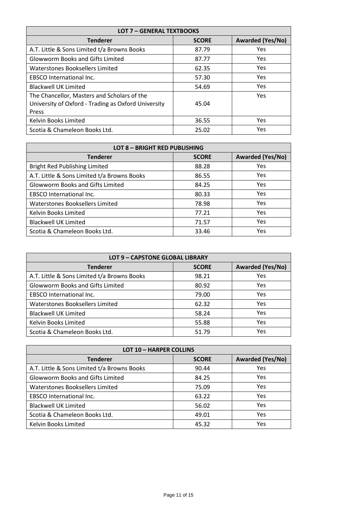| <b>LOT 7 - GENERAL TEXTBOOKS</b>                    |              |                         |  |  |  |
|-----------------------------------------------------|--------------|-------------------------|--|--|--|
| <b>Tenderer</b>                                     | <b>SCORE</b> | <b>Awarded (Yes/No)</b> |  |  |  |
| A.T. Little & Sons Limited t/a Browns Books         | 87.79        | Yes                     |  |  |  |
| <b>Glowworm Books and Gifts Limited</b>             | 87.77        | <b>Yes</b>              |  |  |  |
| Waterstones Booksellers Limited                     | 62.35        | <b>Yes</b>              |  |  |  |
| <b>EBSCO</b> International Inc.                     | 57.30        | <b>Yes</b>              |  |  |  |
| <b>Blackwell UK Limited</b>                         | 54.69        | <b>Yes</b>              |  |  |  |
| The Chancellor, Masters and Scholars of the         |              | <b>Yes</b>              |  |  |  |
| University of Oxford - Trading as Oxford University | 45.04        |                         |  |  |  |
| Press                                               |              |                         |  |  |  |
| Kelvin Books Limited                                | 36.55        | <b>Yes</b>              |  |  |  |
| Scotia & Chameleon Books Ltd.                       | 25.02        | Yes                     |  |  |  |

| <b>LOT 8 - BRIGHT RED PUBLISHING</b>        |              |                         |  |  |
|---------------------------------------------|--------------|-------------------------|--|--|
| <b>Tenderer</b>                             | <b>SCORE</b> | <b>Awarded (Yes/No)</b> |  |  |
| <b>Bright Red Publishing Limited</b>        | 88.28        | Yes                     |  |  |
| A.T. Little & Sons Limited t/a Browns Books | 86.55        | <b>Yes</b>              |  |  |
| <b>Glowworm Books and Gifts Limited</b>     | 84.25        | <b>Yes</b>              |  |  |
| <b>EBSCO</b> International Inc.             | 80.33        | Yes                     |  |  |
| Waterstones Booksellers Limited             | 78.98        | <b>Yes</b>              |  |  |
| Kelvin Books Limited                        | 77.21        | <b>Yes</b>              |  |  |
| <b>Blackwell UK Limited</b>                 | 71.57        | Yes                     |  |  |
| Scotia & Chameleon Books Ltd.               | 33.46        | Yes                     |  |  |

| LOT 9 - CAPSTONE GLOBAL LIBRARY                            |       |            |  |  |  |  |
|------------------------------------------------------------|-------|------------|--|--|--|--|
| <b>Awarded (Yes/No)</b><br><b>Tenderer</b><br><b>SCORE</b> |       |            |  |  |  |  |
| A.T. Little & Sons Limited t/a Browns Books                | 98.21 | Yes        |  |  |  |  |
| <b>Glowworm Books and Gifts Limited</b>                    | 80.92 | Yes        |  |  |  |  |
| <b>EBSCO International Inc.</b>                            | 79.00 | <b>Yes</b> |  |  |  |  |
| Waterstones Booksellers Limited                            | 62.32 | <b>Yes</b> |  |  |  |  |
| <b>Blackwell UK Limited</b>                                | 58.24 | Yes        |  |  |  |  |
| Kelvin Books Limited                                       | 55.88 | Yes        |  |  |  |  |
| Scotia & Chameleon Books Ltd.                              | 51.79 | Yes        |  |  |  |  |

| <b>LOT 10 - HARPER COLLINS</b>                             |       |     |  |  |  |
|------------------------------------------------------------|-------|-----|--|--|--|
| <b>Awarded (Yes/No)</b><br><b>Tenderer</b><br><b>SCORE</b> |       |     |  |  |  |
| A.T. Little & Sons Limited t/a Browns Books                | 90.44 | Yes |  |  |  |
| <b>Glowworm Books and Gifts Limited</b>                    | 84.25 | Yes |  |  |  |
| Waterstones Booksellers Limited                            | 75.09 | Yes |  |  |  |
| <b>EBSCO</b> International Inc.                            | 63.22 | Yes |  |  |  |
| <b>Blackwell UK Limited</b>                                | 56.02 | Yes |  |  |  |
| Scotia & Chameleon Books Ltd.                              | 49.01 | Yes |  |  |  |
| Kelvin Books Limited                                       | 45.32 | Yes |  |  |  |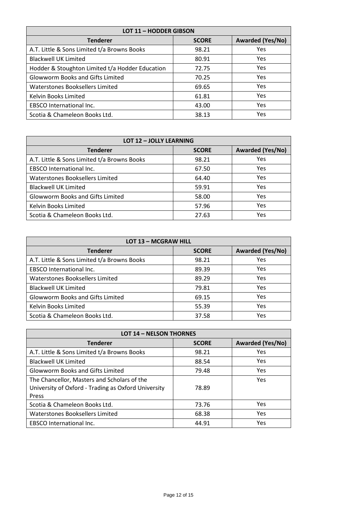| <b>LOT 11 - HODDER GIBSON</b>                   |                         |            |  |  |
|-------------------------------------------------|-------------------------|------------|--|--|
| <b>Tenderer</b>                                 | <b>Awarded (Yes/No)</b> |            |  |  |
| A.T. Little & Sons Limited t/a Browns Books     | 98.21                   | Yes        |  |  |
| <b>Blackwell UK Limited</b>                     | 80.91                   | <b>Yes</b> |  |  |
| Hodder & Stoughton Limited t/a Hodder Education | 72.75                   | <b>Yes</b> |  |  |
| <b>Glowworm Books and Gifts Limited</b>         | 70.25                   | <b>Yes</b> |  |  |
| Waterstones Booksellers Limited                 | 69.65                   | <b>Yes</b> |  |  |
| Kelvin Books Limited                            | 61.81                   | <b>Yes</b> |  |  |
| <b>EBSCO</b> International Inc.                 | 43.00                   | <b>Yes</b> |  |  |
| Scotia & Chameleon Books Ltd.                   | 38.13                   | Yes        |  |  |

| <b>LOT 12 - JOLLY LEARNING</b>                             |       |     |  |  |  |
|------------------------------------------------------------|-------|-----|--|--|--|
| <b>Awarded (Yes/No)</b><br><b>Tenderer</b><br><b>SCORE</b> |       |     |  |  |  |
| A.T. Little & Sons Limited t/a Browns Books                | 98.21 | Yes |  |  |  |
| <b>EBSCO</b> International Inc.                            | 67.50 | Yes |  |  |  |
| Waterstones Booksellers Limited                            | 64.40 | Yes |  |  |  |
| <b>Blackwell UK Limited</b>                                | 59.91 | Yes |  |  |  |
| <b>Glowworm Books and Gifts Limited</b>                    | 58.00 | Yes |  |  |  |
| Kelvin Books Limited                                       | 57.96 | Yes |  |  |  |
| Scotia & Chameleon Books Ltd.                              | 27.63 | Yes |  |  |  |

| <b>LOT 13 - MCGRAW HILL</b>                                |       |     |  |  |  |  |
|------------------------------------------------------------|-------|-----|--|--|--|--|
| <b>Awarded (Yes/No)</b><br><b>Tenderer</b><br><b>SCORE</b> |       |     |  |  |  |  |
| A.T. Little & Sons Limited t/a Browns Books                | 98.21 | Yes |  |  |  |  |
| <b>EBSCO</b> International Inc.                            | 89.39 | Yes |  |  |  |  |
| Waterstones Booksellers Limited                            | 89.29 | Yes |  |  |  |  |
| <b>Blackwell UK Limited</b>                                | 79.81 | Yes |  |  |  |  |
| <b>Glowworm Books and Gifts Limited</b>                    | 69.15 | Yes |  |  |  |  |
| Kelvin Books Limited                                       | 55.39 | Yes |  |  |  |  |
| Scotia & Chameleon Books Ltd.                              | 37.58 | Yes |  |  |  |  |

| <b>LOT 14 - NELSON THORNES</b>                      |              |                         |  |  |
|-----------------------------------------------------|--------------|-------------------------|--|--|
| <b>Tenderer</b>                                     | <b>SCORE</b> | <b>Awarded (Yes/No)</b> |  |  |
| A.T. Little & Sons Limited t/a Browns Books         | 98.21        | Yes                     |  |  |
| <b>Blackwell UK Limited</b>                         | 88.54        | Yes                     |  |  |
| <b>Glowworm Books and Gifts Limited</b>             | 79.48        | <b>Yes</b>              |  |  |
| The Chancellor, Masters and Scholars of the         |              | Yes                     |  |  |
| University of Oxford - Trading as Oxford University | 78.89        |                         |  |  |
| Press                                               |              |                         |  |  |
| Scotia & Chameleon Books Ltd.                       | 73.76        | <b>Yes</b>              |  |  |
| Waterstones Booksellers Limited                     | 68.38        | <b>Yes</b>              |  |  |
| <b>EBSCO</b> International Inc.                     | 44.91        | Yes                     |  |  |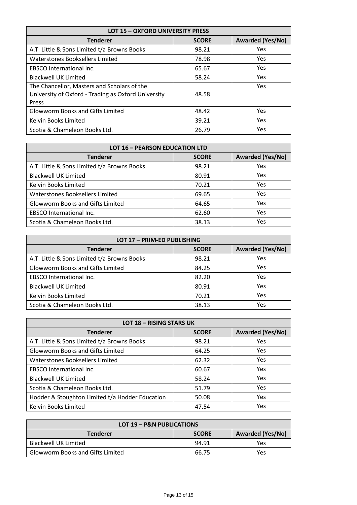| <b>LOT 15 - OXFORD UNIVERSITY PRESS</b>             |              |                         |  |  |
|-----------------------------------------------------|--------------|-------------------------|--|--|
| <b>Tenderer</b>                                     | <b>SCORE</b> | <b>Awarded (Yes/No)</b> |  |  |
| A.T. Little & Sons Limited t/a Browns Books         | 98.21        | Yes                     |  |  |
| Waterstones Booksellers Limited                     | 78.98        | <b>Yes</b>              |  |  |
| <b>EBSCO</b> International Inc.                     | 65.67        | <b>Yes</b>              |  |  |
| <b>Blackwell UK Limited</b>                         | 58.24        | <b>Yes</b>              |  |  |
| The Chancellor, Masters and Scholars of the         |              | <b>Yes</b>              |  |  |
| University of Oxford - Trading as Oxford University | 48.58        |                         |  |  |
| Press                                               |              |                         |  |  |
| <b>Glowworm Books and Gifts Limited</b>             | 48.42        | <b>Yes</b>              |  |  |
| Kelvin Books Limited                                | 39.21        | <b>Yes</b>              |  |  |
| Scotia & Chameleon Books Ltd.                       | 26.79        | Yes                     |  |  |

| <b>LOT 16 - PEARSON EDUCATION LTD</b>                      |       |            |  |  |  |
|------------------------------------------------------------|-------|------------|--|--|--|
| <b>Awarded (Yes/No)</b><br><b>Tenderer</b><br><b>SCORE</b> |       |            |  |  |  |
| A.T. Little & Sons Limited t/a Browns Books                | 98.21 | Yes        |  |  |  |
| <b>Blackwell UK Limited</b>                                | 80.91 | <b>Yes</b> |  |  |  |
| Kelvin Books Limited                                       | 70.21 | <b>Yes</b> |  |  |  |
| Waterstones Booksellers Limited                            | 69.65 | <b>Yes</b> |  |  |  |
| <b>Glowworm Books and Gifts Limited</b>                    | 64.65 | Yes        |  |  |  |
| <b>EBSCO</b> International Inc.                            | 62.60 | Yes        |  |  |  |
| Scotia & Chameleon Books Ltd.                              | 38.13 | Yes        |  |  |  |

| LOT 17 - PRIM-ED PUBLISHING                                |       |     |  |  |  |  |
|------------------------------------------------------------|-------|-----|--|--|--|--|
| <b>Awarded (Yes/No)</b><br><b>Tenderer</b><br><b>SCORE</b> |       |     |  |  |  |  |
| A.T. Little & Sons Limited t/a Browns Books                | 98.21 | Yes |  |  |  |  |
| <b>Glowworm Books and Gifts Limited</b>                    | 84.25 | Yes |  |  |  |  |
| <b>EBSCO</b> International Inc.                            | 82.20 | Yes |  |  |  |  |
| <b>Blackwell UK Limited</b>                                | 80.91 | Yes |  |  |  |  |
| Kelvin Books Limited                                       | 70.21 | Yes |  |  |  |  |
| Scotia & Chameleon Books Ltd.                              | 38.13 | Yes |  |  |  |  |

| <b>LOT 18 - RISING STARS UK</b>                 |              |                         |  |  |
|-------------------------------------------------|--------------|-------------------------|--|--|
| <b>Tenderer</b>                                 | <b>SCORE</b> | <b>Awarded (Yes/No)</b> |  |  |
| A.T. Little & Sons Limited t/a Browns Books     | 98.21        | Yes                     |  |  |
| <b>Glowworm Books and Gifts Limited</b>         | 64.25        | Yes                     |  |  |
| Waterstones Booksellers Limited                 | 62.32        | Yes                     |  |  |
| <b>EBSCO</b> International Inc.                 | 60.67        | Yes                     |  |  |
| <b>Blackwell UK Limited</b>                     | 58.24        | <b>Yes</b>              |  |  |
| Scotia & Chameleon Books Ltd.                   | 51.79        | <b>Yes</b>              |  |  |
| Hodder & Stoughton Limited t/a Hodder Education | 50.08        | <b>Yes</b>              |  |  |
| Kelvin Books Limited                            | 47.54        | Yes                     |  |  |

| LOT 19 - P&N PUBLICATIONS                                  |       |     |  |  |  |
|------------------------------------------------------------|-------|-----|--|--|--|
| <b>Awarded (Yes/No)</b><br><b>Tenderer</b><br><b>SCORE</b> |       |     |  |  |  |
| <b>Blackwell UK Limited</b>                                | 94.91 | Yes |  |  |  |
| <b>Glowworm Books and Gifts Limited</b>                    | 66.75 | Yes |  |  |  |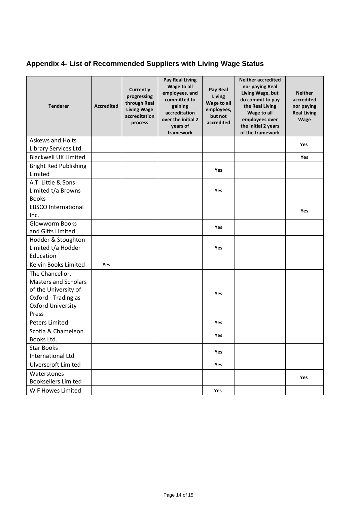# **Appendix 4- List of Recommended Suppliers with Living Wage Status**

| <b>Tenderer</b>                                                                                                                    | <b>Accredited</b> | <b>Currently</b><br>progressing<br>through Real<br><b>Living Wage</b><br>accreditation<br>process | <b>Pay Real Living</b><br>Wage to all<br>employees, and<br>committed to<br>gaining<br>accreditation<br>over the initial 2<br>years of<br>framework | Pay Real<br>Living<br>Wage to all<br>employees,<br>but not<br>accredited | <b>Neither accredited</b><br>nor paying Real<br>Living Wage, but<br>do commit to pay<br>the Real Living<br>Wage to all<br>employees over<br>the initial 2 years<br>of the framework | <b>Neither</b><br>accredited<br>nor paying<br><b>Real Living</b><br><b>Wage</b> |
|------------------------------------------------------------------------------------------------------------------------------------|-------------------|---------------------------------------------------------------------------------------------------|----------------------------------------------------------------------------------------------------------------------------------------------------|--------------------------------------------------------------------------|-------------------------------------------------------------------------------------------------------------------------------------------------------------------------------------|---------------------------------------------------------------------------------|
| <b>Askews and Holts</b>                                                                                                            |                   |                                                                                                   |                                                                                                                                                    |                                                                          |                                                                                                                                                                                     | <b>Yes</b>                                                                      |
| Library Services Ltd.                                                                                                              |                   |                                                                                                   |                                                                                                                                                    |                                                                          |                                                                                                                                                                                     |                                                                                 |
| <b>Blackwell UK Limited</b>                                                                                                        |                   |                                                                                                   |                                                                                                                                                    |                                                                          |                                                                                                                                                                                     | Yes                                                                             |
| <b>Bright Red Publishing</b><br>Limited                                                                                            |                   |                                                                                                   |                                                                                                                                                    | Yes                                                                      |                                                                                                                                                                                     |                                                                                 |
| A.T. Little & Sons<br>Limited t/a Browns<br><b>Books</b>                                                                           |                   |                                                                                                   |                                                                                                                                                    | Yes                                                                      |                                                                                                                                                                                     |                                                                                 |
| <b>EBSCO International</b><br>Inc.                                                                                                 |                   |                                                                                                   |                                                                                                                                                    |                                                                          |                                                                                                                                                                                     | Yes                                                                             |
| Glowworm Books<br>and Gifts Limited                                                                                                |                   |                                                                                                   |                                                                                                                                                    | Yes                                                                      |                                                                                                                                                                                     |                                                                                 |
| Hodder & Stoughton<br>Limited t/a Hodder<br>Education                                                                              |                   |                                                                                                   |                                                                                                                                                    | Yes                                                                      |                                                                                                                                                                                     |                                                                                 |
| Kelvin Books Limited                                                                                                               | <b>Yes</b>        |                                                                                                   |                                                                                                                                                    |                                                                          |                                                                                                                                                                                     |                                                                                 |
| The Chancellor,<br><b>Masters and Scholars</b><br>of the University of<br>Oxford - Trading as<br><b>Oxford University</b><br>Press |                   |                                                                                                   |                                                                                                                                                    | Yes                                                                      |                                                                                                                                                                                     |                                                                                 |
| <b>Peters Limited</b>                                                                                                              |                   |                                                                                                   |                                                                                                                                                    | Yes                                                                      |                                                                                                                                                                                     |                                                                                 |
| Scotia & Chameleon<br>Books Ltd.                                                                                                   |                   |                                                                                                   |                                                                                                                                                    | Yes                                                                      |                                                                                                                                                                                     |                                                                                 |
| <b>Star Books</b><br><b>International Ltd</b>                                                                                      |                   |                                                                                                   |                                                                                                                                                    | Yes                                                                      |                                                                                                                                                                                     |                                                                                 |
| <b>Ulverscroft Limited</b>                                                                                                         |                   |                                                                                                   |                                                                                                                                                    | Yes                                                                      |                                                                                                                                                                                     |                                                                                 |
| Waterstones                                                                                                                        |                   |                                                                                                   |                                                                                                                                                    |                                                                          |                                                                                                                                                                                     | Yes                                                                             |
| <b>Booksellers Limited</b><br>W F Howes Limited                                                                                    |                   |                                                                                                   |                                                                                                                                                    |                                                                          |                                                                                                                                                                                     |                                                                                 |
|                                                                                                                                    |                   |                                                                                                   |                                                                                                                                                    | Yes                                                                      |                                                                                                                                                                                     |                                                                                 |